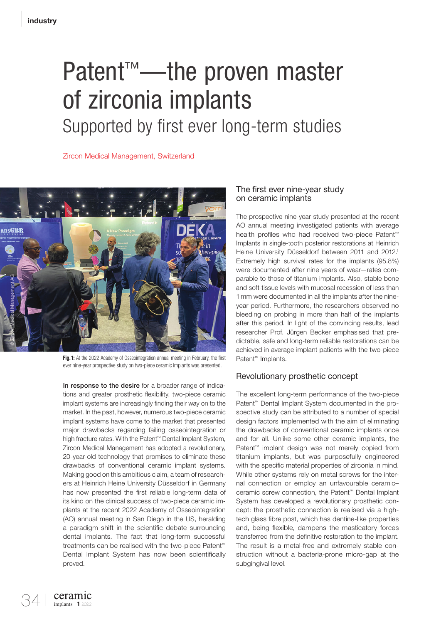# Patent<sup>™</sup>—the proven master of zirconia implants Supported by first ever long-term studies

Zircon Medical Management, Switzerland



Fig. 1: At the 2022 Academy of Osseointegration annual meeting in February, the first ever nine-year prospective study on two-piece ceramic implants was presented.

In response to the desire for a broader range of indications and greater prosthetic flexibility, two-piece ceramic implant systems are increasingly finding their way on to the market. In the past, however, numerous two-piece ceramic implant systems have come to the market that presented major drawbacks regarding failing osseointegration or high fracture rates. With the Patent™ Dental Implant System, Zircon Medical Management has adopted a revolutionary, 20-year-old technology that promises to eliminate these drawbacks of conventional ceramic implant systems. Making good on this ambitious claim, a team of researchers at Heinrich Heine University Düsseldorf in Germany has now presented the first reliable long-term data of its kind on the clinical success of two-piece ceramic implants at the recent 2022 Academy of Osseointegration (AO) annual meeting in San Diego in the US, heralding a paradigm shift in the scientific debate surrounding dental implants. The fact that long-term successful treatments can be realised with the two-piece Patent™ Dental Implant System has now been scientifically proved.

### The first ever nine-year study on ceramic implants

The prospective nine-year study presented at the recent AO annual meeting investigated patients with average health profiles who had received two-piece Patent™ Implants in single-tooth posterior restorations at Heinrich Heine University Düsseldorf between 2011 and 2012.<sup>1</sup> Extremely high survival rates for the implants (95.8%) were documented after nine years of wear—rates comparable to those of titanium implants. Also, stable bone and soft-tissue levels with mucosal recession of less than 1 mm were documented in all the implants after the nineyear period. Furthermore, the researchers observed no bleeding on probing in more than half of the implants after this period. In light of the convincing results, lead researcher Prof. Jürgen Becker emphasised that predictable, safe and long-term reliable restorations can be achieved in average implant patients with the two-piece Patent™ Implants.

#### Revolutionary prosthetic concept

The excellent long-term performance of the two-piece Patent™ Dental Implant System documented in the prospective study can be attributed to a number of special design factors implemented with the aim of eliminating the drawbacks of conventional ceramic implants once and for all. Unlike some other ceramic implants, the Patent<sup>™</sup> implant design was not merely copied from titanium implants, but was purposefully engineered with the specific material properties of zirconia in mind. While other systems rely on metal screws for the internal connection or employ an unfavourable ceramic– ceramic screw connection, the Patent™ Dental Implant System has developed a revolutionary prosthetic concept: the prosthetic connection is realised via a hightech glass fibre post, which has dentine-like properties and, being flexible, dampens the masticatory forces transferred from the definitive restoration to the implant. The result is a metal-free and extremely stable construction without a bacteria-prone micro-gap at the subgingival level.